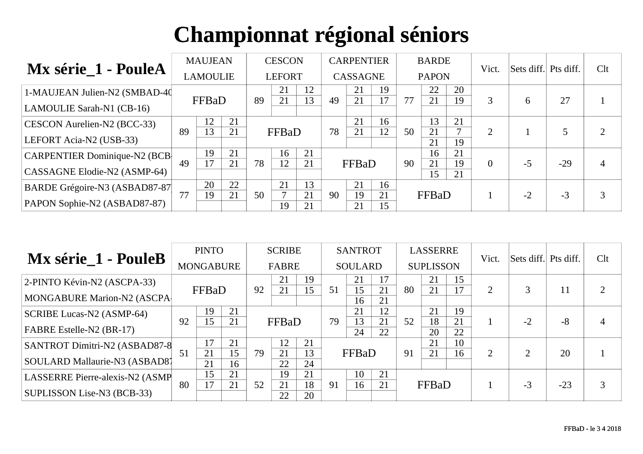| Mx série_1 - PouleA                  |    | <b>MAUJEAN</b>  |    |    | <b>CESCON</b> |          |    | <b>CARPENTIER</b> |          |    | <b>BARDE</b> |          | Vict.    | Sets diff. Pts diff. |       | Clt |
|--------------------------------------|----|-----------------|----|----|---------------|----------|----|-------------------|----------|----|--------------|----------|----------|----------------------|-------|-----|
|                                      |    | <b>LAMOULIE</b> |    |    | <b>LEFORT</b> |          |    | <b>CASSAGNE</b>   |          |    | <b>PAPON</b> |          |          |                      |       |     |
| 1-MAUJEAN Julien-N2 (SMBAD-40)       |    |                 |    |    | 21            | 12       |    | 21                | 19       |    | 22           | 20       |          |                      |       |     |
| LAMOULIE Sarah-N1 (CB-16)            |    | FFBaD           |    | 89 | 21            | 13       | 49 | 21                | 17       | 77 | 21           | 19       | 3        | 6                    | 27    |     |
| CESCON Aurelien-N2 (BCC-33)          |    | 12              | 21 |    |               |          |    | 21                | 16       |    | 13           | 21       |          |                      |       |     |
| LEFORT Acia-N2 (USB-33)              | 89 | 13              | 21 |    | FFBaD         |          | 78 | 21                | 12       | 50 | 21<br>21     | 19       | 2        |                      |       |     |
| <b>CARPENTIER Dominique-N2 (BCB)</b> |    | 19              | 21 |    | 16            | 21       |    |                   |          |    | 16           | 21       |          |                      |       |     |
| CASSAGNE Elodie-N2 (ASMP-64)         | 49 | 17              | 21 | 78 | 12            | 21       |    | FFBaD             |          | 90 | 21<br>15     | 19<br>21 | $\Omega$ | $-5$                 | $-29$ | 4   |
| BARDE Grégoire-N3 (ASBAD87-87        |    | 20              | 22 |    | 21            | 13       |    | 21                | 16       |    |              |          |          |                      |       |     |
| PAPON Sophie-N2 (ASBAD87-87)         | 77 | 19              | 21 | 50 | 19            | 21<br>21 | 90 | 19<br>21          | 21<br>15 |    | FFBaD        |          |          | $-2$                 | $-3$  | 3   |

| Mx série_1 - PouleB              |    | <b>PINTO</b>     |          |    | <b>SCRIBE</b> |          |    | <b>SANTROT</b> |          |    | <b>LASSERRE</b>  |          | Vict. | Sets diff. Pts diff. |       | Clt            |
|----------------------------------|----|------------------|----------|----|---------------|----------|----|----------------|----------|----|------------------|----------|-------|----------------------|-------|----------------|
|                                  |    | <b>MONGABURE</b> |          |    | <b>FABRE</b>  |          |    | <b>SOULARD</b> |          |    | <b>SUPLISSON</b> |          |       |                      |       |                |
| $ 2-PINTO$ Kévin-N2 (ASCPA-33)   |    |                  |          |    | 21            | 19       |    | 21             | 17       |    | 21               | 15       |       |                      |       |                |
| MONGABURE Marion-N2 (ASCPA)      |    | <b>FFBaD</b>     |          | 92 | 21            | 15       | 51 | 15<br>16       | 21<br>21 | 80 | 21               | 17       | 2     |                      | 11    | $\overline{2}$ |
| <b>SCRIBE Lucas-N2 (ASMP-64)</b> |    | 19               | 21       |    |               |          |    | 21             | 12       |    | 21               | 19       |       |                      |       |                |
| <b>FABRE Estelle-N2 (BR-17)</b>  | 92 | 15               | 21       |    | FFBaD         |          | 79 | 13<br>24       | 21<br>22 | 52 | 18<br>20         | 21<br>22 |       | $-2$                 | $-8$  |                |
| SANTROT Dimitri-N2 (ASBAD87-8    |    | 17               | 21       |    | 12            | 21       |    |                |          |    | 21               | 10       |       |                      |       |                |
| SOULARD Mallaurie-N3 (ASBAD8)    | 51 | 21<br>21         | 15<br>16 | 79 | 21<br>22      | 13<br>24 |    | FFBaD          |          | 91 | 21               | 16       | 2     |                      | 20    |                |
| LASSERRE Pierre-alexis-N2 (ASMP  |    | 15               | 21       |    | 19            | 21       |    | 10             | 21       |    |                  |          |       |                      |       |                |
| SUPLISSON Lise-N3 (BCB-33)       | 80 | 17               | 21       | 52 | 21<br>22      | 18<br>20 | 91 | 16             | 21       |    | FFBaD            |          |       | $-5$                 | $-23$ | 3              |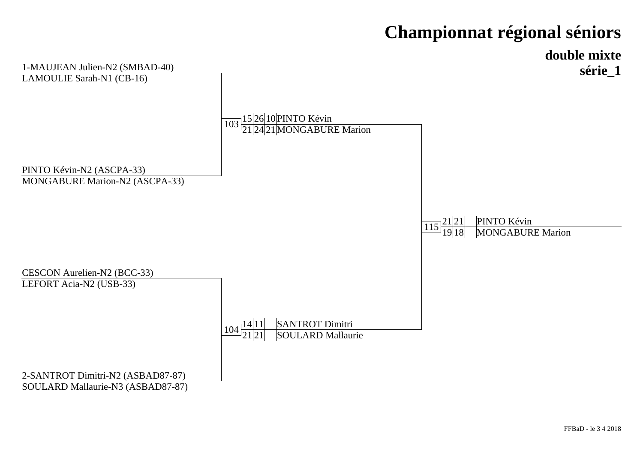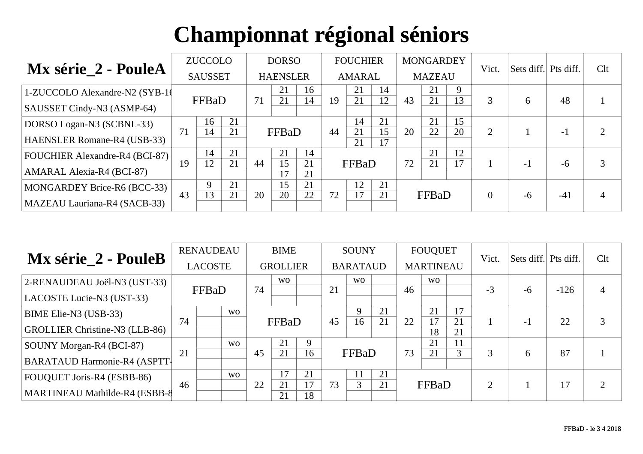|                                       |    | <b>ZUCCOLO</b> |    |    | <b>DORSO</b>    |          |    | <b>FOUCHIER</b> |          |    | <b>MONGARDEY</b> |    | Vict.    | Sets diff. Pts diff. |       | Clt |
|---------------------------------------|----|----------------|----|----|-----------------|----------|----|-----------------|----------|----|------------------|----|----------|----------------------|-------|-----|
| Mx série_2 - PouleA                   |    | <b>SAUSSET</b> |    |    | <b>HAENSLER</b> |          |    | <b>AMARAL</b>   |          |    | <b>MAZEAU</b>    |    |          |                      |       |     |
| 1-ZUCCOLO Alexandre-N2 (SYB-10)       |    |                |    |    | 21              | 16       |    | 21              | 14       |    | 21               | 9  |          |                      |       |     |
| SAUSSET Cindy-N3 (ASMP-64)            |    | FFBaD          |    | 71 | 21              | 14       | 19 | 21              | 12       | 43 | 21               | 13 | 3        | 6                    | 48    |     |
| DORSO Logan-N3 (SCBNL-33)             |    | 16             | 21 |    |                 |          |    | 14              | 21       |    | 21               | 15 |          |                      |       | ⌒   |
| HAENSLER Romane-R4 (USB-33)           | 71 | 14             | 21 |    | FFBaD           |          | 44 | 21<br>21        | 15<br>17 | 20 | 22               | 20 | 2        |                      | $-1$  |     |
| <b>FOUCHIER Alexandre-R4 (BCI-87)</b> |    | 14             | 21 |    | 21              | 14       |    |                 |          |    | 21               | 12 |          |                      |       |     |
| <b>AMARAL Alexia-R4 (BCI-87)</b>      | 19 | 12             | 21 | 44 | 15<br>17        | 21<br>21 |    | FFBaD           |          | 72 | 21               | 17 |          | $-1$                 | $-6$  | 3   |
| MONGARDEY Brice-R6 (BCC-33)           |    | 9              | 21 |    | 15              | 21       |    | 12              | 21       |    |                  |    |          |                      |       |     |
| MAZEAU Lauriana-R4 (SACB-33)          | 43 | 13             | 21 | 20 | 20              | 22       | 72 | 17              | 21       |    | FFBaD            |    | $\Omega$ | -6                   | $-41$ |     |

| Mx série_2 - PouleB                 |    | <b>RENAUDEAU</b> |                |    | <b>BIME</b>     |          |    | <b>SOUNY</b>    |    |    | <b>FOUQUET</b>   |          | Vict.          | Sets diff. Pts diff. |        | Clt |
|-------------------------------------|----|------------------|----------------|----|-----------------|----------|----|-----------------|----|----|------------------|----------|----------------|----------------------|--------|-----|
|                                     |    | <b>LACOSTE</b>   |                |    | <b>GROLLIER</b> |          |    | <b>BARATAUD</b> |    |    | <b>MARTINEAU</b> |          |                |                      |        |     |
| 2-RENAUDEAU Joël-N3 (UST-33)        |    |                  |                | 74 | <b>WO</b>       |          | 21 | <b>WO</b>       |    |    | W <sub>O</sub>   |          | $-3$           |                      | $-126$ |     |
| LACOSTE Lucie-N3 (UST-33)           |    | FFBaD            |                |    |                 |          |    |                 |    | 46 |                  |          |                | -6                   |        | 4   |
| BIME Elie-N3 (USB-33)               |    |                  | <b>WO</b>      |    |                 |          |    | 9               | 21 |    | 21               | 17       |                |                      |        |     |
| GROLLIER Christine-N3 (LLB-86)      | 74 |                  |                |    | FFBaD           |          | 45 | 16              | 21 | 22 | 17<br>18         | 21<br>21 |                | - 1                  | 22     | 3   |
| SOUNY Morgan-R4 (BCI-87)            |    |                  | W <sub>O</sub> |    | 21              |          |    |                 |    |    | 21               | 11       |                |                      |        |     |
| <b>BARATAUD Harmonie-R4 (ASPTT-</b> | 21 |                  |                | 45 | 21              | 16       |    | FFBaD           |    | 73 | 21               | 3        | 3              | 6                    | 87     |     |
| FOUQUET Joris-R4 (ESBB-86)          |    |                  | <b>WO</b>      |    | 17              | 21       |    | 11              | 21 |    |                  |          |                |                      |        |     |
| MARTINEAU Mathilde-R4 (ESBB-8       | 46 |                  |                | 22 | 21<br>21        | 17<br>18 | 73 | 3               | 21 |    | FFBaD            |          | $\overline{2}$ |                      | 17     | ി   |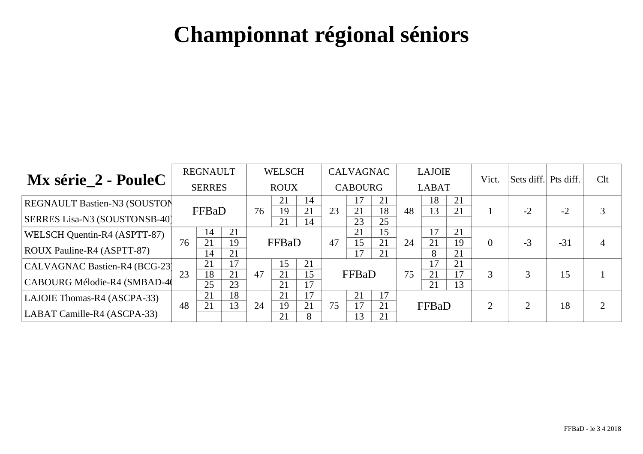|                                     |    | <b>REGNAULT</b> |          |    | <b>WELSCH</b> |          |    | <b>CALVAGNAC</b> |          |    | <b>LAJOIE</b> |          | Vict.          | Sets diff. Pts diff. |       | Clt |
|-------------------------------------|----|-----------------|----------|----|---------------|----------|----|------------------|----------|----|---------------|----------|----------------|----------------------|-------|-----|
| Mx série_2 - PouleC                 |    | <b>SERRES</b>   |          |    | <b>ROUX</b>   |          |    | <b>CABOURG</b>   |          |    | <b>LABAT</b>  |          |                |                      |       |     |
| <b>REGNAULT Bastien-N3 (SOUSTON</b> |    | FFBaD           |          | 76 | 21<br>19      | 14<br>21 | 23 | 17<br>21         | 21<br>18 | 48 | 18<br>13      | 21<br>21 |                | $-2$                 | $-2$  |     |
| SERRES Lisa-N3 (SOUSTONSB-40)       |    |                 |          |    | 21            | 14       |    | 23               | 25       |    |               |          |                |                      |       |     |
| WELSCH Quentin-R4 (ASPTT-87)        |    | 14              | 21       |    |               |          |    | 21               | 15       |    | 17            | 21       |                |                      |       |     |
| ROUX Pauline-R4 (ASPTT-87)          | 76 | 21<br>14        | 19<br>21 |    | FFBaD         |          | 47 | 15<br>17         | 21<br>21 | 24 | 21<br>8       | 19<br>21 | $\theta$       | $-3$                 | $-31$ |     |
| CALVAGNAC Bastien-R4 (BCG-23)       |    | 21              | 17       |    | 15            | 21       |    |                  |          |    |               | 21<br>17 |                |                      |       |     |
| CABOURG Mélodie-R4 (SMBAD-4)        | 23 | 18<br>25        | 21<br>23 | 47 | 21<br>21      | 15<br>17 |    | FFBaD            |          | 75 | 21<br>21      | 13       | 3              |                      | 15    |     |
| LAJOIE Thomas-R4 (ASCPA-33)         |    | 21              | 18       |    | 21            | 17       |    | 21               |          |    |               |          |                |                      |       |     |
| LABAT Camille-R4 (ASCPA-33)         | 48 | 21              | 13       | 24 | 19<br>21      | 21<br>8  | 75 | 17<br>13         | 21<br>21 |    | FFBaD         |          | $\overline{2}$ | ◠                    | 18    |     |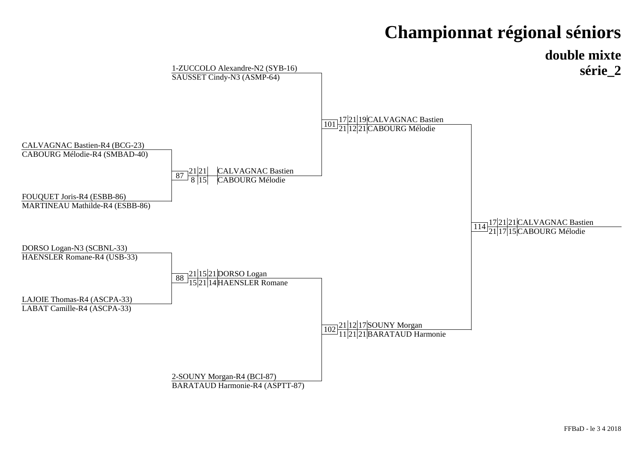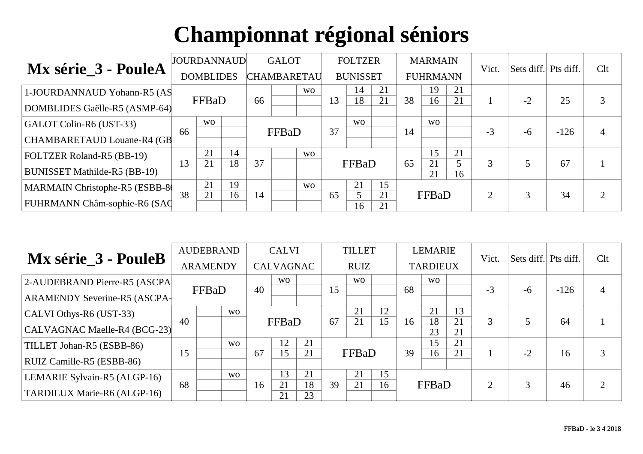| Mx série_3 - PouleA                 |    | <b>JOURDANNAUD</b> |    |                    | <b>GALOT</b> |           |    | <b>FOLTZER</b>  |          |    | <b>MARMAIN</b>  |         | Vict.          | Sets diff. Pts diff. |        | Clt        |
|-------------------------------------|----|--------------------|----|--------------------|--------------|-----------|----|-----------------|----------|----|-----------------|---------|----------------|----------------------|--------|------------|
|                                     |    | <b>DOMBLIDES</b>   |    | <b>CHAMBARETAU</b> |              |           |    | <b>BUNISSET</b> |          |    | <b>FUHRMANN</b> |         |                |                      |        |            |
| 1-JOURDANNAUD Yohann-R5 (AS         |    |                    |    |                    |              | <b>WO</b> |    | 14              | 21       |    | 19              | 21      |                |                      |        |            |
| DOMBLIDES Gaëlle-R5 (ASMP-64)       |    | FFBaD              |    | 66                 |              |           | 13 | 18              | 21       | 38 | 16              | 21      |                | $-2$                 | 25     | 3          |
| GALOT Colin-R6 (UST-33)             |    | <b>WO</b>          |    |                    |              |           |    | <b>WO</b>       |          |    | W <sub>O</sub>  |         |                |                      |        |            |
| CHAMBARETAUD Louane-R4 (GB          | 66 |                    |    |                    | FFBaD        |           | 37 |                 |          | 14 |                 |         | $-3$           | -6                   | $-126$ |            |
| <b>FOLTZER Roland-R5 (BB-19)</b>    |    | 21                 | 14 |                    |              | <b>WO</b> |    |                 |          |    | 15              | 21      |                |                      |        |            |
| <b>BUNISSET Mathilde-R5 (BB-19)</b> | 13 | 21                 | 18 | 37                 |              |           |    | FFBaD           |          | 65 | 21<br>21        | 5<br>16 | 3              |                      | 67     |            |
| MARMAIN Christophe-R5 (ESBB-8       |    | 21                 | 19 |                    |              | <b>WO</b> |    | 21              | 15       |    |                 |         |                |                      |        |            |
| FUHRMANN Châm-sophie-R6 (SAC        | 38 | 21                 | 16 | 14                 |              |           | 65 | 5<br>16         | 21<br>21 |    | FFBaD           |         | $\overline{2}$ |                      | 34     | $\bigcirc$ |

| Mx série_3 - PouleB          |    | <b>AUDEBRAND</b> |                |    | <b>CALVI</b>     |          |    | <b>TILLET</b> |    |    | <b>LEMARIE</b>  |          | Vict.          | Sets diff. Pts diff. |        | Clt        |
|------------------------------|----|------------------|----------------|----|------------------|----------|----|---------------|----|----|-----------------|----------|----------------|----------------------|--------|------------|
|                              |    | <b>ARAMENDY</b>  |                |    | <b>CALVAGNAC</b> |          |    | <b>RUIZ</b>   |    |    | <b>TARDIEUX</b> |          |                |                      |        |            |
| 2-AUDEBRAND Pierre-R5 (ASCPA |    |                  |                |    | W <sub>O</sub>   |          |    | <b>WO</b>     |    |    | <b>WO</b>       |          |                |                      |        |            |
| ARAMENDY Severine-R5 (ASCPA- |    | FFBaD            |                | 40 |                  |          | 15 |               |    | 68 |                 |          | $-3$           | $-6$                 | $-126$ |            |
| CALVI Othys-R6 (UST-33)      |    |                  | <b>WO</b>      |    |                  |          |    | 21            | 12 |    | 21              | 13       |                |                      |        |            |
| CALVAGNAC Maelle-R4 (BCG-23) | 40 |                  |                |    | FFBaD            |          | 67 | 21            | 15 | 16 | 18<br>23        | 21<br>21 | 3              |                      | 64     |            |
| TILLET Johan-R5 (ESBB-86)    |    |                  | W <sub>O</sub> |    | 12               | 21       |    |               |    |    | 15              | 21       |                |                      |        |            |
| RUIZ Camille-R5 (ESBB-86)    | 15 |                  |                | 67 | 15               | 21       |    | FFBaD         |    | 39 | 16              | 21       |                | $-2$                 | 16     | 3          |
| LEMARIE Sylvain-R5 (ALGP-16) |    |                  | W <sub>O</sub> |    | 13               | 21       |    | 21            | 15 |    |                 |          |                |                      |        |            |
| TARDIEUX Marie-R6 (ALGP-16)  | 68 |                  |                | 16 | 21<br>21         | 18<br>23 | 39 | 21            | 16 |    | FFBaD           |          | $\overline{2}$ |                      | 46     | $\bigcirc$ |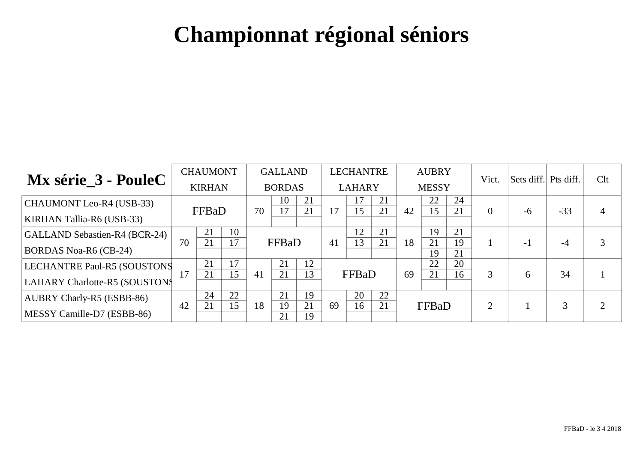|                                      |    | <b>CHAUMONT</b> |          |    | <b>GALLAND</b> |          |    | LECHANTRE     |          |    | <b>AUBRY</b> |          | Vict.          | Sets diff. Pts diff. |       | Clt |
|--------------------------------------|----|-----------------|----------|----|----------------|----------|----|---------------|----------|----|--------------|----------|----------------|----------------------|-------|-----|
| Mx série_3 - PouleC                  |    | <b>KIRHAN</b>   |          |    | <b>BORDAS</b>  |          |    | <b>LAHARY</b> |          |    | <b>MESSY</b> |          |                |                      |       |     |
| <b>CHAUMONT Leo-R4 (USB-33)</b>      |    | FFBaD           |          | 70 | 10<br>17       | 21<br>21 | 17 | 17<br>15      | 21<br>21 | 42 | 22<br>15     | 24<br>21 | $\theta$       | $-6$                 | $-33$ |     |
| <b>KIRHAN Tallia-R6 (USB-33)</b>     |    |                 |          |    |                |          |    |               |          |    |              |          |                |                      |       |     |
| <b>GALLAND Sebastien-R4 (BCR-24)</b> |    | 21              | 10       |    |                |          |    | 12            | 21       |    | 19           | 21       |                |                      |       |     |
| <b>BORDAS Noa-R6 (CB-24)</b>         | 70 | 21              | 17       |    | FFBaD          |          | 41 | 13            | 21       | 18 | 21<br>19     | 19<br>21 |                | $-1$                 | -4    |     |
| LECHANTRE Paul-R5 (SOUSTONS          | 17 | 21              | 17<br>15 |    | 21<br>21       | 12<br>13 |    |               |          |    | 22           | 20       |                |                      |       |     |
| <b>LAHARY Charlotte-R5 (SOUSTONS</b> |    | 21              |          | 41 |                |          |    | FFBaD         |          | 69 | 21           | 16       | 3              | 6                    | 34    |     |
| <b>AUBRY Charly-R5 (ESBB-86)</b>     |    | 24              | 22       |    | 21             | 19       |    | 20            | 22       |    |              |          |                |                      |       |     |
| MESSY Camille-D7 (ESBB-86)           | 42 | 21              | 15       | 18 | 19<br>21       | 21<br>19 | 69 | 16            | 21       |    | FFBaD        |          | $\overline{2}$ |                      | 3     |     |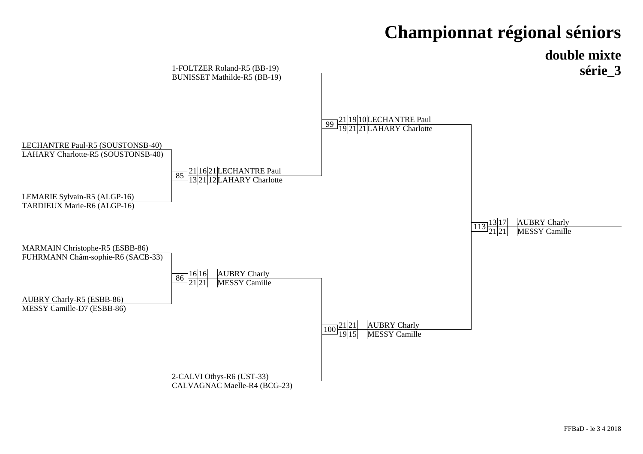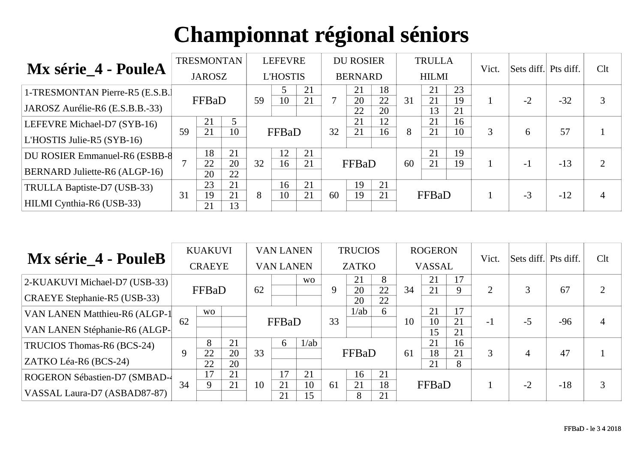| Mx série_4 - PouleA                   |    | <b>TRESMONTAN</b> |          |    | <b>LEFEVRE</b>  |          |    | <b>DU ROSIER</b> |          |    | <b>TRULLA</b> |          | Vict. | Sets diff. Pts diff. |       | Clt            |
|---------------------------------------|----|-------------------|----------|----|-----------------|----------|----|------------------|----------|----|---------------|----------|-------|----------------------|-------|----------------|
|                                       |    | <b>JAROSZ</b>     |          |    | <b>L'HOSTIS</b> |          |    | <b>BERNARD</b>   |          |    | <b>HILMI</b>  |          |       |                      |       |                |
| 1-TRESMONTAN Pierre-R5 (E.S.B.)       |    |                   |          |    |                 | 21       |    | 21               | 18<br>22 | 31 | 21<br>21      | 23<br>19 |       | $-2$                 | $-32$ |                |
| JAROSZ Aurélie-R6 (E.S.B.B.-33)       |    | FFBaD             |          | 59 | 10              | 21       |    | 20<br>22         | 20       |    | 13            | 21       |       |                      |       | 3              |
| LEFEVRE Michael-D7 (SYB-16)           |    | 21                | 5        |    |                 |          |    | 21               | 12       |    | 21            | 16       |       |                      |       |                |
| $LTHOSTIS$ Julie-R5 (SYB-16)          | 59 | 21                | 10       |    | FFBaD           |          | 32 | 21               | 16       | 8  | 21            | 10       | 3     | 6                    | 57    |                |
| <b>DU ROSIER Emmanuel-R6 (ESBB-8)</b> |    | 18<br>22          | 21<br>20 | 32 | 12<br>16        | 21<br>21 |    |                  |          | 60 | 21<br>21      | 19<br>19 |       |                      |       | $\overline{2}$ |
| <b>BERNARD Juliette-R6 (ALGP-16)</b>  |    | 20                | 22       |    |                 |          |    | FFBaD            |          |    |               |          |       | $-1$                 | $-13$ |                |
| TRULLA Baptiste-D7 (USB-33)           |    | 23                | 21       |    | 16              | 21       |    | 19               | 21       |    |               |          |       |                      |       |                |
| HILMI Cynthia-R6 (USB-33)             | 31 | 19<br>21          | 21<br>13 | 8  | 10              | 21       | 60 | 19               | 21       |    | FFBaD         |          |       | $-3$                 | $-12$ |                |

| Mx série_4 - PouleB           |    | <b>KUAKUVI</b> |          |    | <b>VAN LANEN</b> |           |    | <b>TRUCIOS</b> |          |    | <b>ROGERON</b> |          | Vict. | Sets diff. Pts diff. |       | Clt            |
|-------------------------------|----|----------------|----------|----|------------------|-----------|----|----------------|----------|----|----------------|----------|-------|----------------------|-------|----------------|
|                               |    | <b>CRAEYE</b>  |          |    | <b>VAN LANEN</b> |           |    | <b>ZATKO</b>   |          |    | <b>VASSAL</b>  |          |       |                      |       |                |
| 2-KUAKUVI Michael-D7 (USB-33) |    |                |          |    |                  | <b>WO</b> | Q  | 21             | 8        |    | 21             | 17       |       |                      |       |                |
| CRAEYE Stephanie-R5 (USB-33)  |    | FFBaD          |          | 62 |                  |           |    | 20<br>20       | 22<br>22 | 34 | 21             | Q        | 2     |                      | 67    | $\overline{2}$ |
| VAN LANEN Matthieu-R6 (ALGP-1 |    | <b>WO</b>      |          |    |                  |           |    | 1/ab           | 6        |    | 21             | 17       |       |                      |       |                |
| VAN LANEN Stéphanie-R6 (ALGP- | 62 |                |          |    | FFBaD            |           | 33 |                |          | 10 | 10<br>15       | 21<br>21 | - 1   | $-5$                 | $-96$ |                |
| TRUCIOS Thomas-R6 (BCS-24)    |    | 8              | 21       |    | 6                | 1/ab      |    |                |          |    | 21             | 16       |       |                      |       |                |
| ZATKO Léa-R6 (BCS-24)         | 9  | 22<br>22       | 20<br>20 | 33 |                  |           |    | FFBaD          |          | 61 | 18<br>21       | 21<br>8  | 3     |                      | 47    |                |
| ROGERON Sébastien-D7 (SMBAD-  |    | 17             | 21       |    | 17               | 21        |    | 16             | 21       |    |                |          |       |                      |       |                |
| VASSAL Laura-D7 (ASBAD87-87)  | 34 | 9              | 21       | 10 | 21<br>21         | 10<br>15  | 61 | 21<br>8        | 18<br>21 |    | FFBaD          |          |       | $-2$                 | $-18$ | 3              |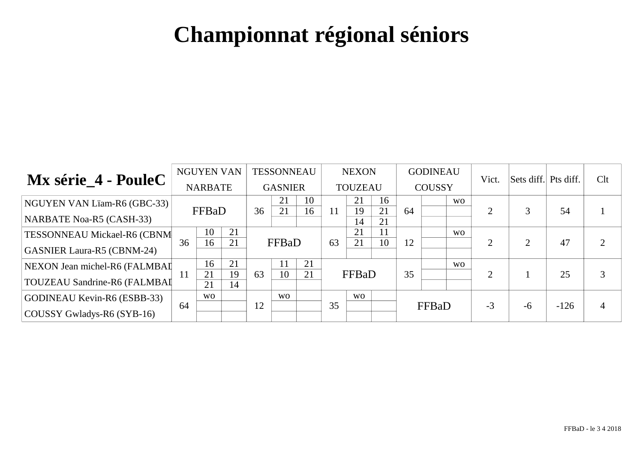|                                     |    | <b>NGUYEN VAN</b> |          |    | <b>TESSONNEAU</b> |          |    | <b>NEXON</b>   |          |    | <b>GODINEAU</b> |                | Vict.          | Sets diff. Pts diff. |        | Clt |
|-------------------------------------|----|-------------------|----------|----|-------------------|----------|----|----------------|----------|----|-----------------|----------------|----------------|----------------------|--------|-----|
| Mx série_4 - PouleC                 |    | <b>NARBATE</b>    |          |    | <b>GASNIER</b>    |          |    | <b>TOUZEAU</b> |          |    | <b>COUSSY</b>   |                |                |                      |        |     |
| NGUYEN VAN Lïam-R6 (GBC-33)         |    | FFBaD             |          | 36 | 21<br>21          | 10<br>16 | 11 | 21<br>19       | 16<br>21 | 64 |                 | <b>WO</b>      | $\overline{2}$ |                      | 54     |     |
| NARBATE Noa-R5 (CASH-33)            |    |                   |          |    |                   |          |    | 14             | 21       |    |                 |                |                |                      |        |     |
| <b>TESSONNEAU Mickael-R6 (CBNM</b>  |    | 10                | 21       |    |                   |          |    | 21             |          |    |                 | W <sub>O</sub> |                | ⌒                    |        |     |
| <b>GASNIER Laura-R5 (CBNM-24)</b>   | 36 | 16                | 21       |    | FFBaD             |          | 63 | 21             | 10       | 12 |                 |                | $\overline{2}$ |                      | 47     |     |
| NEXON Jean michel-R6 (FALMBAI       |    | 16                | 21<br>19 |    | 10                | 21       |    |                |          |    |                 | W <sub>O</sub> |                |                      |        |     |
| <b>TOUZEAU Sandrine-R6 (FALMBAI</b> | 11 | 21<br>21          | 14       | 63 |                   | 21       |    | FFBaD          |          | 35 |                 |                | $\overline{2}$ |                      | 25     |     |
| <b>GODINEAU Kevin-R6 (ESBB-33)</b>  |    | <b>WO</b>         |          |    | <b>WO</b>         |          |    | <b>WO</b>      |          |    |                 |                |                |                      |        |     |
| $\vert$ COUSSY Gwladys-R6 (SYB-16)  | 64 |                   |          | 12 |                   |          | 35 |                |          |    | FFBaD           |                | $-3$           | $-6$                 | $-126$ |     |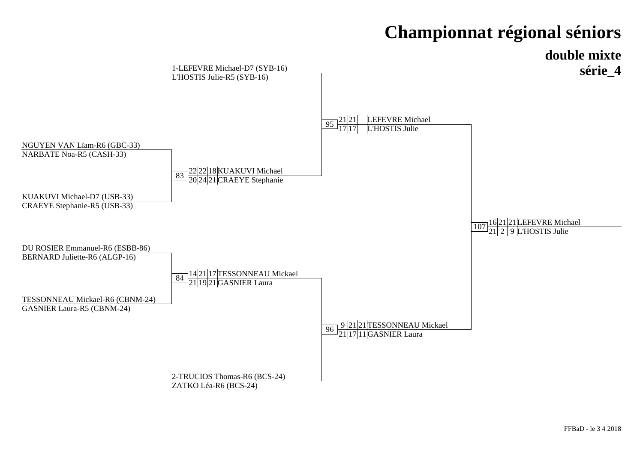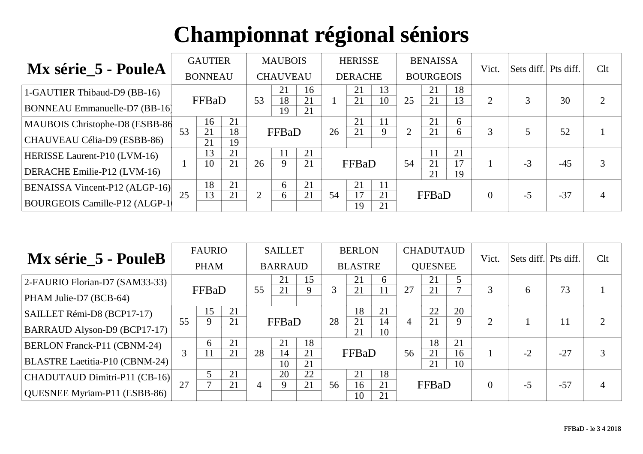|                                      |    | <b>GAUTIER</b> |          |                | <b>MAUBOIS</b>    |          |    | <b>HERISSE</b> |          |                | <b>BENAISSA</b>  |          | Vict.    | Sets diff. Pts diff. |       | Clt            |
|--------------------------------------|----|----------------|----------|----------------|-------------------|----------|----|----------------|----------|----------------|------------------|----------|----------|----------------------|-------|----------------|
| Mx série_5 - PouleA                  |    | <b>BONNEAU</b> |          |                | <b>CHAUVEAU</b>   |          |    | <b>DERACHE</b> |          |                | <b>BOURGEOIS</b> |          |          |                      |       |                |
| 1-GAUTIER Thibaud-D9 (BB-16)         |    |                |          |                | 21                | 16       |    | 21             | 13       |                | 21               | 18       |          |                      |       |                |
| <b>BONNEAU Emmanuelle-D7 (BB-16)</b> |    | FFBaD          |          | 53             | 18<br>19          | 21<br>21 |    | 21             | 10       | 25             | 21               | 13       | 2        |                      | 30    | $\overline{2}$ |
| MAUBOIS Christophe-D8 (ESBB-86)      | 53 | 16<br>21       | 21<br>18 |                | FFBaD             |          | 26 | 21<br>21       | 11       | $\overline{2}$ | 21<br>21         | 6        | 3        |                      | 52    |                |
| CHAUVEAU Célia-D9 (ESBB-86)          |    | 21             | 19       |                |                   |          |    |                |          |                |                  | 6        |          |                      |       |                |
| <b>HERISSE Laurent-P10 (LVM-16)</b>  |    | 13             | 21<br>21 |                | 11<br>$\mathbf Q$ | 21       |    |                |          |                |                  | 21       |          |                      |       |                |
| DERACHE Emilie-P12 (LVM-16)          |    | 10             |          | 26             |                   | 21       |    | FFBaD          |          | 54             | 21<br>21         | 17<br>19 |          | $-3$                 | $-45$ | 3              |
| BENAISSA Vincent-P12 (ALGP-16)       |    | 18             | 21       |                | 6                 | 21       |    | 21             | 11       |                |                  |          |          |                      |       |                |
| BOURGEOIS Camille-P12 (ALGP-1)       | 25 | 13             | 21       | $\overline{2}$ | $\sigma$          | 21       | 54 | 17<br>19       | 21<br>21 |                | FFBaD            |          | $\theta$ | $-5$                 | $-37$ | $\overline{4}$ |

| Mx série_5 - PouleB                |          | <b>FAURIO</b> |    | <b>SAILLET</b> |                |          | <b>BERLON</b> |                |          | <b>CHADUTAUD</b> |                |          | Vict.          | Sets diff. Pts diff. |    | Clt            |
|------------------------------------|----------|---------------|----|----------------|----------------|----------|---------------|----------------|----------|------------------|----------------|----------|----------------|----------------------|----|----------------|
|                                    |          | <b>PHAM</b>   |    |                | <b>BARRAUD</b> |          |               | <b>BLASTRE</b> |          |                  | <b>QUESNEE</b> |          |                |                      |    |                |
| 2-FAURIO Florian-D7 (SAM33-33)     | FFBaD    |               |    |                | 21             | 15       |               | 21             | 6        |                  | 21             |          |                |                      |    |                |
| PHAM Julie-D7 (BCB-64)             |          |               |    | 55             | 21             |          | 21            | 11             | 27       | 21               |                | 3        | 6              | 73                   |    |                |
| SAILLET Rémi-D8 (BCP17-17)         | 15<br>55 |               | 21 |                |                |          |               | 18             | 21       |                  | 22             | 20       |                |                      |    |                |
| BARRAUD Alyson-D9 (BCP17-17)       |          |               | 21 |                | FFBaD          |          | 28            | 21<br>21       | 14<br>10 | $\overline{4}$   | 21             | 9        | $\overline{2}$ |                      | 11 | $\overline{2}$ |
| <b>BERLON Franck-P11 (CBNM-24)</b> |          | 6             | 21 |                | 21             | 18       |               |                |          |                  | 18             | 21       |                |                      |    |                |
| BLASTRE Laetitia-P10 (CBNM-24)     | 3        | 11            | 21 | 28             | 14<br>10       | 21<br>21 | FFBaD         |                | 56       | 21<br>21         | 16<br>10       |          | $-2$           | $-27$                | 3  |                |
| CHADUTAUD Dimitri-P11 (CB-16)      |          |               | 21 |                | 20             | 22       |               | 21             | 18       |                  |                |          |                |                      |    |                |
| QUESNEE Myriam-P11 (ESBB-86)       | 27       |               | 21 | 9<br>4         |                | 21       | 56            | 16<br>10       | 21<br>21 | FFBaD            |                | $\theta$ | $-5$           | $-57$                | 4  |                |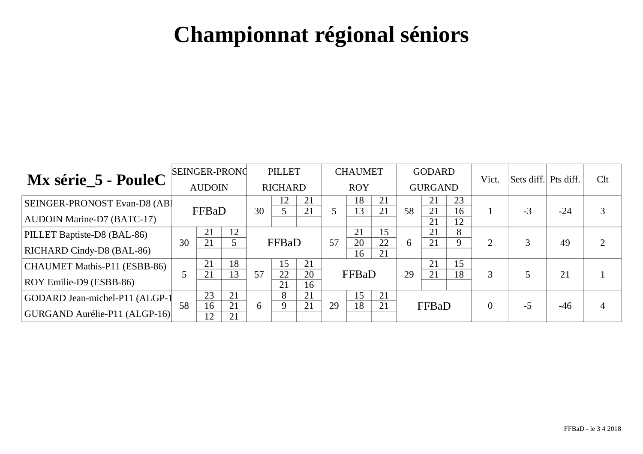| Mx série_5 - PouleC            | <b>SEINGER-PRONC</b> |          |          | <b>PILLET</b>  |                      |          | <b>CHAUMET</b> |          |          | <b>GODARD</b>  |          |          | Vict.          | Sets diff. Pts diff. |       | Clt |
|--------------------------------|----------------------|----------|----------|----------------|----------------------|----------|----------------|----------|----------|----------------|----------|----------|----------------|----------------------|-------|-----|
|                                | <b>AUDOIN</b>        |          |          | <b>RICHARD</b> |                      |          | <b>ROY</b>     |          |          | <b>GURGAND</b> |          |          |                |                      |       |     |
| SEINGER-PRONOST Evan-D8 (AB)   | FFBaD                |          |          | 30             | 12                   | 21<br>21 |                | 18<br>13 | 21<br>21 | 58             | 21<br>21 | 23<br>16 |                | $-3$                 | $-24$ |     |
| AUDOIN Marine-D7 (BATC-17)     |                      |          |          |                |                      |          |                |          |          |                | 21       | 12       |                |                      |       |     |
| PILLET Baptiste-D8 (BAL-86)    |                      | 21       | 12       |                |                      |          |                | 21       | 15       |                | 21       | 8<br>9   |                |                      |       |     |
| RICHARD Cindy-D8 (BAL-86)      | 21<br>30             |          |          |                | FFBaD                |          | 57             | 20<br>16 | 22<br>21 | 6              | 21       |          | $\overline{2}$ |                      | 49    |     |
| CHAUMET Mathis-P11 (ESBB-86)   |                      | 21       | 18<br>13 |                | 15                   | 21       |                |          |          |                | 21       | 15       |                |                      |       |     |
| ROY Emilie-D9 (ESBB-86)        |                      | 21       |          | 57             | 22<br>20<br>21<br>16 |          | FFBaD          |          | 29       | 21             | 18       | 3        |                | 21                   |       |     |
| GODARD Jean-michel-P11 (ALGP-1 |                      | 23       | 21       |                | 8                    | 21       |                | 15       | 21       |                |          |          |                |                      |       |     |
| GURGAND Aurélie-P11 (ALGP-16)  | 58                   | 16<br>12 | 21<br>21 | 6              |                      | 21       | 29             | 18       | 21       |                | FFBaD    |          | $\theta$       | $-5$                 | $-46$ |     |